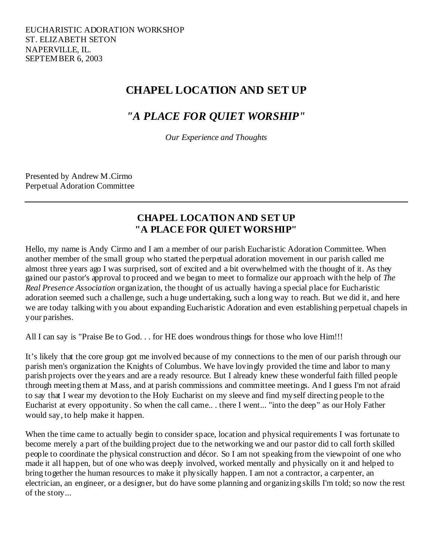# **CHAPEL LOCATION AND SET UP**

# *"A PLACE FOR QUIET WORSHIP"*

*Our Experience and Thoughts* 

Presented by Andrew M.Cirmo Perpetual Adoration Committee

### **CHAPEL LOCATION AND SET UP "A PLACE FOR QUIET WORSHIP"**

Hello, my name is Andy Cirmo and I am a member of our parish Eucharistic Adoration Committee. When another member of the small group who started the perpetual adoration movement in our parish called me almost three years ago I was surprised, sort of excited and a bit overwhelmed with the thought of it. As they gained our pastor's approval to proceed and we began to meet to formalize our approach with the help of *The Real Presence Association* organization, the thought of us actually having a special place for Eucharistic adoration seemed such a challenge, such a huge undertaking, such a long way to reach. But we did it, and here we are today talking with you about expanding Eucharistic Adoration and even establishing perpetual chapels in your parishes.

All I can say is "Praise Be to God. . . for HE does wondrous things for those who love Him!!!

It's likely that the core group got me involved because of my connections to the men of our parish through our parish men's organization the Knights of Columbus. We have lovingly provided the time and labor to many parish projects over the years and are a ready resource. But I already knew these wonderful faith filled people through meeting them at Mass, and at parish commissions and committee meetings. And I guess I'm not afraid to say that I wear my devotion to the Holy Eucharist on my sleeve and find myself directing people to the Eucharist at every opportunity. So when the call came.. . there I went... "into the deep" as our Holy Father would say, to help make it happen.

When the time came to actually begin to consider space, location and physical requirements I was fortunate to become merely a part of the building project due to the networking we and our pastor did to call forth skilled people to coordinate the physical construction and décor. So I am not speaking from the viewpoint of one who made it all happen, but of one who was deeply involved, worked mentally and physically on it and helped to bring together the human resources to make it physically happen. I am not a contractor, a carpenter, an electrician, an engineer, or a designer, but do have some planning and organizing skills I'm told; so now the rest of the story...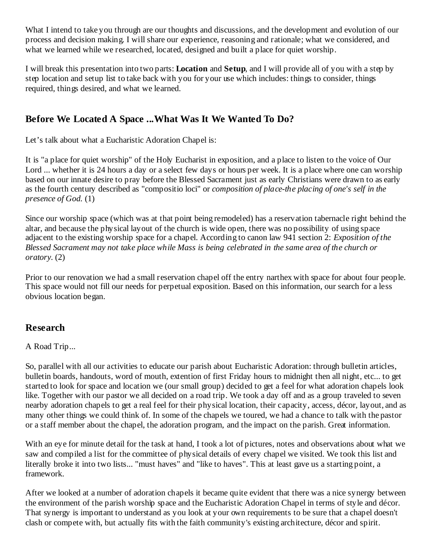What I intend to take you through are our thoughts and discussions, and the development and evolution of our process and decision making. I will share our experience, reasoning and rationale; what we considered, and what we learned while we researched, located, designed and built a place for quiet worship.

I will break this presentation into two parts: **Location** and **Setup**, and I will provide all of you with a step by step location and setup list to take back with you for your use which includes: things to consider, things required, things desired, and what we learned.

# **Before We Located A Space ...What Was It We Wanted To Do?**

Let's talk about what a Eucharistic Adoration Chapel is:

It is "a place for quiet worship" of the Holy Eucharist in exposition, and a place to listen to the voice of Our Lord ... whether it is 24 hours a day or a select few days or hours per week. It is a place where one can worship based on our innate desire to pray before the Blessed Sacrament just as early Christians were drawn to as early as the fourth century described as "compositio loci" or *composition of place-the placing of one's self in the presence of God.* (1)

Since our worship space (which was at that point being remodeled) has a reservation tabernacle right behind the altar, and because the physical layout of the church is wide open, there was no possibility of using space adjacent to the existing worship space for a chapel. According to canon law 941 section 2: *Exposition of the Blessed Sacrament may not take place while Mass is being celebrated in the same area of the church or oratory*. (2)

Prior to our renovation we had a small reservation chapel off the entry narthex with space for about four people. This space would not fill our needs for perpetual exposition. Based on this information, our search for a less obvious location began.

## **Research**

### A Road Trip...

So, parallel with all our activities to educate our parish about Eucharistic Adoration: through bulletin articles, bulletin boards, handouts, word of mouth, extention of first Friday hours to midnight then all night, etc... to get started to look for space and location we (our small group) decided to get a feel for what adoration chapels look like. Together with our pastor we all decided on a road trip. We took a day off and as a group traveled to seven nearby adoration chapels to get a real feel for their physical location, their capacity, access, décor, layout, and as many other things we could think of. In some of the chapels we toured, we had a chance to talk with the pastor or a staff member about the chapel, the adoration program, and the impact on the parish. Great information.

With an eye for minute detail for the task at hand, I took a lot of pictures, notes and observations about what we saw and compiled a list for the committee of physical details of every chapel we visited. We took this list and literally broke it into two lists... "must haves" and "like to haves". This at least gave us a starting point, a framework.

After we looked at a number of adoration chapels it became quite evident that there was a nice synergy between the environment of the parish worship space and the Eucharistic Adoration Chapel in terms of style and décor. That synergy is important to understand as you look at your own requirements to be sure that a chapel doesn't clash or compete with, but actually fits with the faith community's existing architecture, décor and spirit.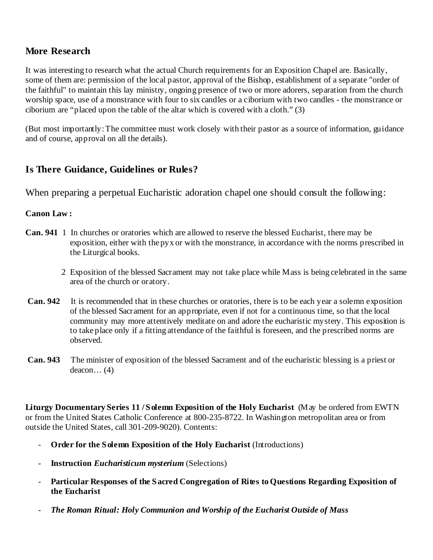### **More Research**

It was interesting to research what the actual Church requirements for an Exposition Chapel are. Basically, some of them are: permission of the local pastor, approval of the Bishop, establishment of a separate "order of the faithful" to maintain this lay ministry, ongoing presence of two or more adorers, separation from the church worship space, use of a monstrance with four to six candles or a ciborium with two candles - the monstrance or ciborium are "placed upon the table of the altar which is covered with a cloth." (3)

(But most importantly: The committee must work closely with their pastor as a source of information, guidance and of course, approval on all the details).

### **Is There Guidance, Guidelines or Rules?**

When preparing a perpetual Eucharistic adoration chapel one should consult the following:

#### **Canon Law :**

- **Can. 941** 1 In churches or oratories which are allowed to reserve the blessed Eucharist, there may be exposition, either with the pyx or with the monstrance, in accordance with the norms prescribed in the Liturgical books*.* 
	- 2 Exposition of the blessed Sacrament may not take place while Mass is being celebrated in the same area of the church or oratory.
- **Can. 942** It is recommended that in these churches or oratories, there is to be each year a solemn exposition of the blessed Sacrament for an appropriate, even if not for a continuous time, so that the local community may more attentively meditate on and adore the eucharistic mystery. This exposition is to take place only if a fitting attendance of the faithful is foreseen, and the prescribed norms are observed.
- **Can. 943** The minister of exposition of the blessed Sacrament and of the eucharistic blessing is a priest or deacon… (4)

**Liturgy Documentary Series 11 / Solemn Exposition of the Holy Eucharist** (May be ordered from EWTN or from the United States Catholic Conference at 800-235-8722. In Washington metropolitan area or from outside the United States, call 301-209-9020). Contents:

- **Order for the Solemn Exposition of the Holy Eucharist** (Introductions)
- **Instruction** *Eucharisticum mysterium* (Selections)
- **Particular Responses of the Sacred Congregation of Rites to Questions Regarding Exposition of the Eucharist**
- *The Roman Ritual: Holy Communion and Worship of the Eucharist Outside of Mass*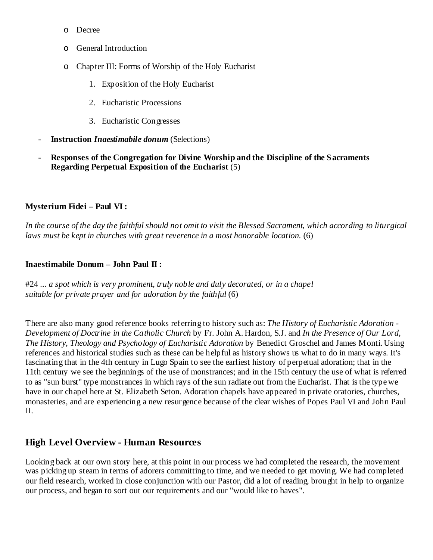- o Decree
- o General Introduction
- o Chapter III: Forms of Worship of the Holy Eucharist
	- 1. Exposition of the Holy Eucharist
	- 2. Eucharistic Processions
	- 3. Eucharistic Congresses
- **Instruction** *Inaestimabile donum* (Selections)
- **Responses of the Congregation for Divine Worship and the Discipline of the Sacraments Regarding Perpetual Exposition of the Eucharist** (5)

#### **Mysterium Fidei – Paul VI :**

In the course of the day the faithful should not omit to visit the Blessed Sacrament, which according to liturgical laws must be kept in churches with great reverence in a most honorable location. (6)

#### **Inaestimabile Donum – John Paul II :**

#24 *... a spot which is very prominent, truly noble and duly decorated, or in a chapel suitable for private prayer and for adoration by the faithful* (6)

There are also many good reference books referring to history such as: *The History of Eucharistic Adoration - Development of Doctrine in the Catholic Church* by Fr. John A. Hardon, S.J. and *In the Presence of Our Lord, The History, Theology and Psychology of Eucharistic Adoration* by Benedict Groschel and James Monti. Using references and historical studies such as these can be helpful as history shows us what to do in many ways. It's fascinating that in the 4th century in Lugo Spain to see the earliest history of perpetual adoration; that in the 11th century we see the beginnings of the use of monstrances; and in the 15th century the use of what is referred to as "sun burst" type monstrances in which rays of the sun radiate out from the Eucharist. That is the type we have in our chapel here at St. Elizabeth Seton. Adoration chapels have appeared in private oratories, churches, monasteries, and are experiencing a new resurgence because of the clear wishes of Popes Paul VI and John Paul II.

### **High Level Overview - Human Resources**

Looking back at our own story here, at this point in our process we had completed the research, the movement was picking up steam in terms of adorers committing to time, and we needed to get moving. We had completed our field research, worked in close conjunction with our Pastor, did a lot of reading, brought in help to organize our process, and began to sort out our requirements and our "would like to haves".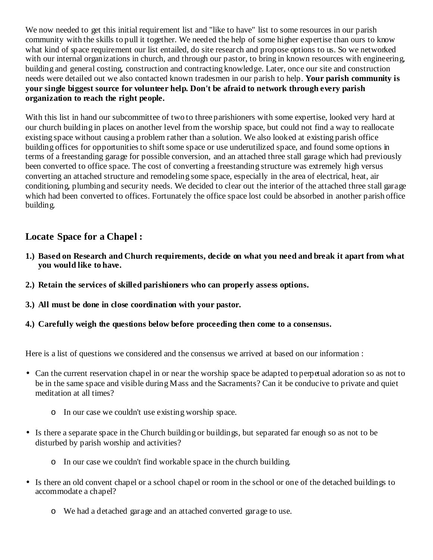We now needed to get this initial requirement list and "like to have" list to some resources in our parish community with the skills to pull it together. We needed the help of some higher expertise than ours to know what kind of space requirement our list entailed, do site research and propose options to us. So we networked with our internal organizations in church, and through our pastor, to bring in known resources with engineering, building and general costing, construction and contracting knowledge. Later, once our site and construction needs were detailed out we also contacted known tradesmen in our parish to help. **Your parish community is your single biggest source for volunteer help. Don't be afraid to network through every parish organization to reach the right people.** 

With this list in hand our subcommittee of two to three parishioners with some expertise, looked very hard at our church building in places on another level from the worship space, but could not find a way to reallocate existing space without causing a problem rather than a solution. We also looked at existing parish office building offices for opportunities to shift some space or use underutilized space, and found some options in terms of a freestanding garage for possible conversion, and an attached three stall garage which had previously been converted to office space. The cost of converting a freestanding structure was extremely high versus converting an attached structure and remodeling some space, especially in the area of electrical, heat, air conditioning, plumbing and security needs. We decided to clear out the interior of the attached three stall garage which had been converted to offices. Fortunately the office space lost could be absorbed in another parish office building.

## **Locate Space for a Chapel :**

- **1.) Based on Research and Church requirements, decide on what you need and break it apart from what you would like to have.**
- **2.) Retain the services of skilled parishioners who can properly assess options.**
- **3.) All must be done in close coordination with your pastor.**
- **4.) Carefully weigh the questions below before proceeding then come to a consensus.**

Here is a list of questions we considered and the consensus we arrived at based on our information :

- Can the current reservation chapel in or near the worship space be adapted to perpetual adoration so as not to be in the same space and visible during Mass and the Sacraments? Can it be conducive to private and quiet meditation at all times?
	- o In our case we couldn't use existing worship space.
- Is there a separate space in the Church building or buildings, but separated far enough so as not to be disturbed by parish worship and activities?
	- o In our case we couldn't find workable space in the church building.
- Is there an old convent chapel or a school chapel or room in the school or one of the detached buildings to accommodate a chapel?
	- o We had a detached garage and an attached converted garage to use.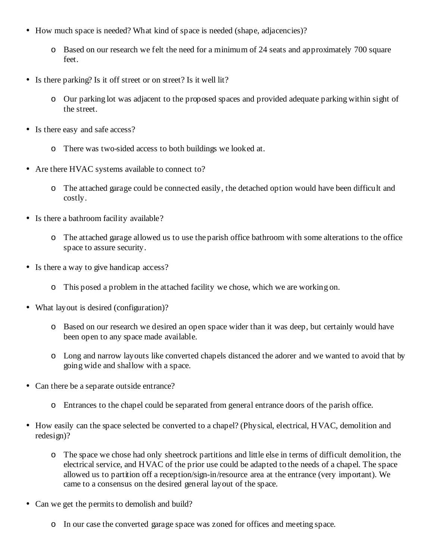- How much space is needed? What kind of space is needed (shape, adjacencies)?
	- o Based on our research we felt the need for a minimum of 24 seats and approximately 700 square feet.
- Is there parking? Is it off street or on street? Is it well lit?
	- o Our parking lot was adjacent to the proposed spaces and provided adequate parking within sight of the street.
- Is there easy and safe access?
	- o There was two-sided access to both buildings we looked at.
- Are there HVAC systems available to connect to?
	- o The attached garage could be connected easily, the detached option would have been difficult and costly.
- Is there a bathroom facility available?
	- o The attached garage allowed us to use the parish office bathroom with some alterations to the office space to assure security.
- Is there a way to give handicap access?
	- o This posed a problem in the attached facility we chose, which we are working on.
- What layout is desired (configuration)?
	- o Based on our research we desired an open space wider than it was deep, but certainly would have been open to any space made available.
	- o Long and narrow layouts like converted chapels distanced the adorer and we wanted to avoid that by going wide and shallow with a space.
- Can there be a separate outside entrance?
	- o Entrances to the chapel could be separated from general entrance doors of the parish office.
- How easily can the space selected be converted to a chapel? (Physical, electrical, HVAC, demolition and redesign)?
	- o The space we chose had only sheetrock partitions and little else in terms of difficult demolition, the electrical service, and HVAC of the prior use could be adapted to the needs of a chapel. The space allowed us to partition off a reception/sign-in/resource area at the entrance (very important). We came to a consensus on the desired general layout of the space.
- Can we get the permits to demolish and build?
	- o In our case the converted garage space was zoned for offices and meeting space.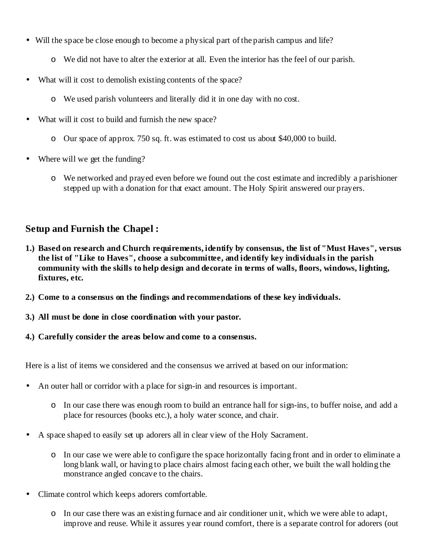- Will the space be close enough to become a physical part of the parish campus and life?
	- o We did not have to alter the exterior at all. Even the interior has the feel of our parish.
- What will it cost to demolish existing contents of the space?
	- o We used parish volunteers and literally did it in one day with no cost.
- What will it cost to build and furnish the new space?
	- o Our space of approx. 750 sq. ft. was estimated to cost us about \$40,000 to build.
- Where will we get the funding?
	- o We networked and prayed even before we found out the cost estimate and incredibly a parishioner stepped up with a donation for that exact amount. The Holy Spirit answered our prayers.

### **Setup and Furnish the Chapel :**

- **1.) Based on research and Church requirements, identify by consensus, the list of "Must Haves", versus the list of "Like to Haves", choose a subcommittee, and identify key individuals in the parish community with the skills to help design and decorate in terms of walls, floors, windows, lighting, fixtures, etc.**
- **2.) Come to a consensus on the findings and recommendations of these key individuals.**
- **3.) All must be done in close coordination with your pastor.**
- **4.) Carefully consider the areas below and come to a consensus.**

Here is a list of items we considered and the consensus we arrived at based on our information:

- An outer hall or corridor with a place for sign-in and resources is important.
	- o In our case there was enough room to build an entrance hall for sign-ins, to buffer noise, and add a place for resources (books etc.), a holy water sconce, and chair.
- A space shaped to easily set up adorers all in clear view of the Holy Sacrament.
	- o In our case we were able to configure the space horizontally facing front and in order to eliminate a long blank wall, or having to place chairs almost facing each other, we built the wall holding the monstrance angled concave to the chairs.
- Climate control which keeps adorers comfortable.
	- o In our case there was an existing furnace and air conditioner unit, which we were able to adapt, improve and reuse. While it assures year round comfort, there is a separate control for adorers (out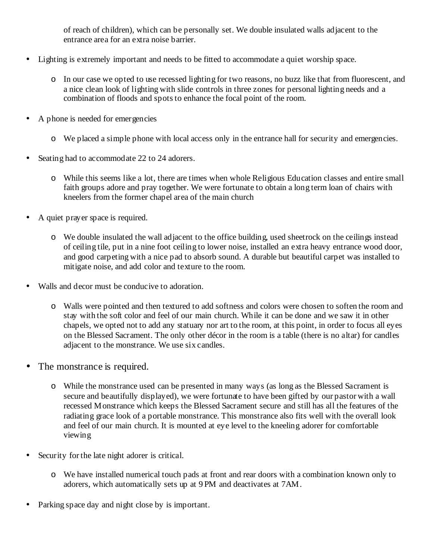of reach of children), which can be personally set. We double insulated walls adjacent to the entrance area for an extra noise barrier.

- Lighting is extremely important and needs to be fitted to accommodate a quiet worship space.
	- o In our case we opted to use recessed lighting for two reasons, no buzz like that from fluorescent, and a nice clean look of lighting with slide controls in three zones for personal lighting needs and a combination of floods and spots to enhance the focal point of the room.
- A phone is needed for emergencies
	- o We placed a simple phone with local access only in the entrance hall for security and emergencies.
- Seating had to accommodate 22 to 24 adorers.
	- o While this seems like a lot, there are times when whole Religious Education classes and entire small faith groups adore and pray together. We were fortunate to obtain a long term loan of chairs with kneelers from the former chapel area of the main church
- A quiet prayer space is required.
	- o We double insulated the wall adjacent to the office building, used sheetrock on the ceilings instead of ceiling tile, put in a nine foot ceiling to lower noise, installed an extra heavy entrance wood door, and good carpeting with a nice pad to absorb sound. A durable but beautiful carpet was installed to mitigate noise, and add color and texture to the room.
- Walls and decor must be conducive to adoration.
	- o Walls were pointed and then textured to add softness and colors were chosen to soften the room and stay with the soft color and feel of our main church. While it can be done and we saw it in other chapels, we opted not to add any statuary nor art to the room, at this point, in order to focus all eyes on the Blessed Sacrament. The only other décor in the room is a table (there is no altar) for candles adjacent to the monstrance. We use six candles.
- The monstrance is required.
	- o While the monstrance used can be presented in many ways (as long as the Blessed Sacrament is secure and beautifully displayed), we were fortunate to have been gifted by our pastor with a wall recessed Monstrance which keeps the Blessed Sacrament secure and still has all the features of the radiating grace look of a portable monstrance. This monstrance also fits well with the overall look and feel of our main church. It is mounted at eye level to the kneeling adorer for comfortable viewing
- Security for the late night adorer is critical.
	- o We have installed numerical touch pads at front and rear doors with a combination known only to adorers, which automatically sets up at 9 PM and deactivates at 7AM.
- Parking space day and night close by is important.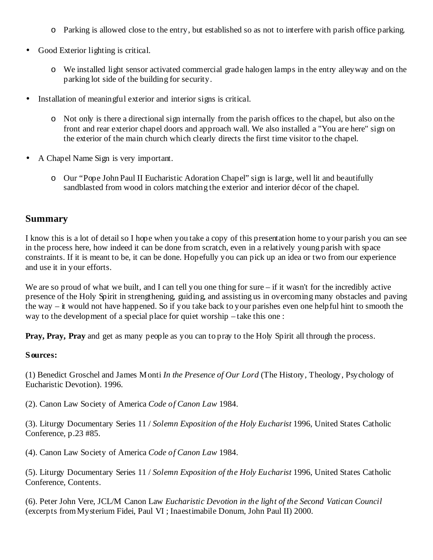- o Parking is allowed close to the entry, but established so as not to interfere with parish office parking.
- Good Exterior lighting is critical.
	- o We installed light sensor activated commercial grade halogen lamps in the entry alleyway and on the parking lot side of the building for security.
- Installation of meaningful exterior and interior signs is critical.
	- o Not only is there a directional sign internally from the parish offices to the chapel, but also on the front and rear exterior chapel doors and approach wall. We also installed a "You are here" sign on the exterior of the main church which clearly directs the first time visitor to the chapel.
- A Chapel Name Sign is very important.
	- o Our "Pope John Paul II Eucharistic Adoration Chapel" sign is large, well lit and beautifully sandblasted from wood in colors matching the exterior and interior décor of the chapel.

### **Summary**

I know this is a lot of detail so I hope when you take a copy of this presentation home to your parish you can see in the process here, how indeed it can be done from scratch, even in a relatively young parish with space constraints. If it is meant to be, it can be done. Hopefully you can pick up an idea or two from our experience and use it in your efforts.

We are so proud of what we built, and I can tell you one thing for sure – if it wasn't for the incredibly active presence of the Holy Spirit in strengthening, guiding, and assisting us in overcoming many obstacles and paving the way – it would not have happened. So if you take back to your parishes even one helpful hint to smooth the way to the development of a special place for quiet worship – take this one :

**Pray, Pray, Pray** and get as many people as you can to pray to the Holy Spirit all through the process.

#### **Sources:**

(1) Benedict Groschel and James Monti *In the Presence of Our Lord* (The History, Theology, Psychology of Eucharistic Devotion). 1996.

(2). Canon Law Society of America *Code of Canon Law* 1984.

(3). Liturgy Documentary Series 11 / *Solemn Exposition of the Holy Eucharist* 1996, United States Catholic Conference, p.23 #85.

(4). Canon Law Society of America *Code of Canon Law* 1984.

(5). Liturgy Documentary Series 11 / *Solemn Exposition of the Holy Eucharist* 1996, United States Catholic Conference, Contents.

(6). Peter John Vere, JCL/M Canon Law *Eucharistic Devotion in the light of the Second Vatican Council*  (excerpts from Mysterium Fidei, Paul VI ; Inaestimabile Donum, John Paul II) 2000.